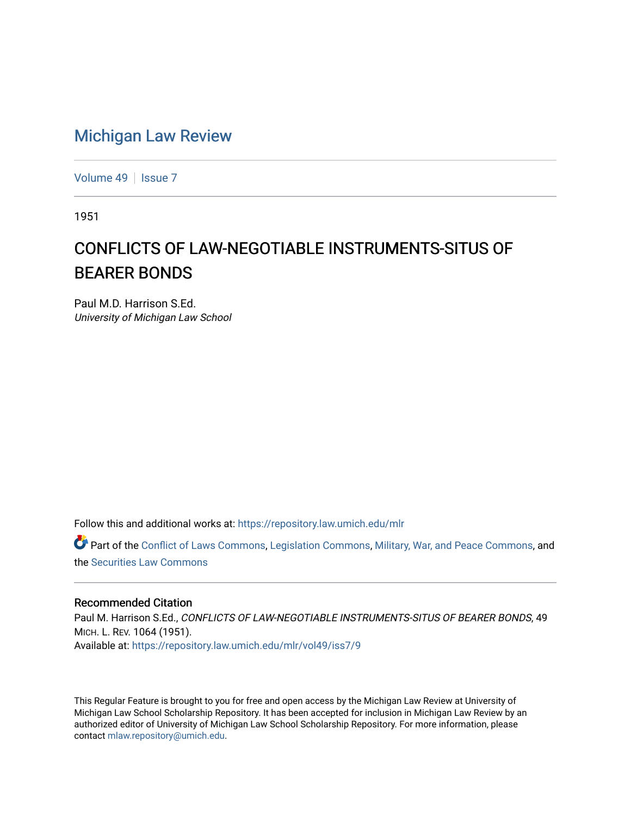## [Michigan Law Review](https://repository.law.umich.edu/mlr)

[Volume 49](https://repository.law.umich.edu/mlr/vol49) | [Issue 7](https://repository.law.umich.edu/mlr/vol49/iss7)

1951

## CONFLICTS OF LAW-NEGOTIABLE INSTRUMENTS-SITUS OF BEARER BONDS

Paul M.D. Harrison S.Ed. University of Michigan Law School

Follow this and additional works at: [https://repository.law.umich.edu/mlr](https://repository.law.umich.edu/mlr?utm_source=repository.law.umich.edu%2Fmlr%2Fvol49%2Fiss7%2F9&utm_medium=PDF&utm_campaign=PDFCoverPages) 

Part of the [Conflict of Laws Commons,](https://network.bepress.com/hgg/discipline/588?utm_source=repository.law.umich.edu%2Fmlr%2Fvol49%2Fiss7%2F9&utm_medium=PDF&utm_campaign=PDFCoverPages) [Legislation Commons](https://network.bepress.com/hgg/discipline/859?utm_source=repository.law.umich.edu%2Fmlr%2Fvol49%2Fiss7%2F9&utm_medium=PDF&utm_campaign=PDFCoverPages), [Military, War, and Peace Commons](https://network.bepress.com/hgg/discipline/861?utm_source=repository.law.umich.edu%2Fmlr%2Fvol49%2Fiss7%2F9&utm_medium=PDF&utm_campaign=PDFCoverPages), and the [Securities Law Commons](https://network.bepress.com/hgg/discipline/619?utm_source=repository.law.umich.edu%2Fmlr%2Fvol49%2Fiss7%2F9&utm_medium=PDF&utm_campaign=PDFCoverPages) 

## Recommended Citation

Paul M. Harrison S.Ed., CONFLICTS OF LAW-NEGOTIABLE INSTRUMENTS-SITUS OF BEARER BONDS, 49 MICH. L. REV. 1064 (1951). Available at: [https://repository.law.umich.edu/mlr/vol49/iss7/9](https://repository.law.umich.edu/mlr/vol49/iss7/9?utm_source=repository.law.umich.edu%2Fmlr%2Fvol49%2Fiss7%2F9&utm_medium=PDF&utm_campaign=PDFCoverPages)

This Regular Feature is brought to you for free and open access by the Michigan Law Review at University of Michigan Law School Scholarship Repository. It has been accepted for inclusion in Michigan Law Review by an authorized editor of University of Michigan Law School Scholarship Repository. For more information, please contact [mlaw.repository@umich.edu](mailto:mlaw.repository@umich.edu).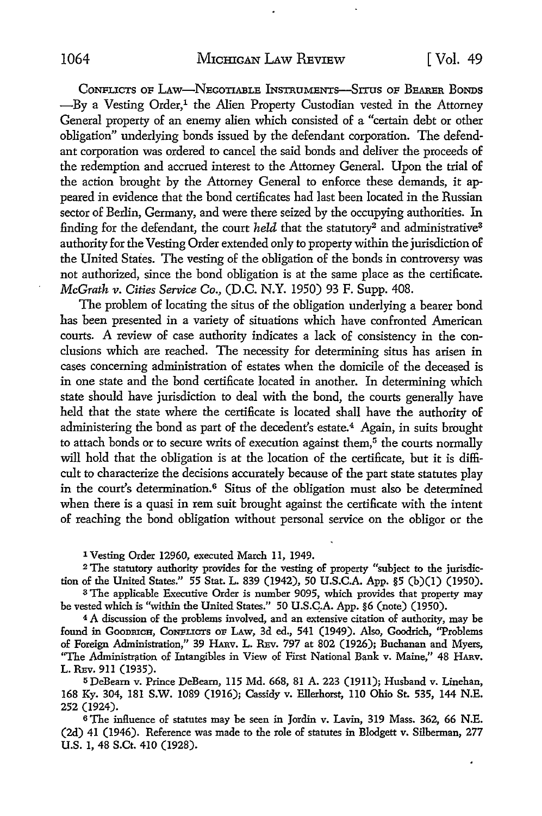CoNFLICTS OF LAw-NEGOTIABLE INsTRuMENTs-Srrus OF BEARER BoNDs  $-Bv$  a Vesting Order,<sup>1</sup> the Alien Property Custodian vested in the Attorney General property of an enemy alien which consisted of a "certain debt or other obligation" underlying bonds issued by the defendant corporation. The defendant corporation was ordered to cancel the said bonds and deliver the proceeds of the redemption and accrued interest to the Attorney General. Upon the trial of the action brought by the Attorney General to enforce these demands, it appeared in evidence that the bond certificates had last been located in the Russian sector of Berlin, Germany, and were there seized by the occupying authorities. In finding for the defendant, the court *held* that the statutory<sup>2</sup> and administrative<sup>3</sup> authority for the Vesting Order extended only to property within the jurisdiction of the United States. The vesting of the obligation of the bonds in controversy was not authorized, since the bond obligation is at the same place as the certificate. *McGrath v. Cities Service* Co., (D.C. N.Y. 1950) 93 F. Supp. 408.

The problem of locating the situs of the obligation underlying a bearer bond has been presented in a variety of situations which have confronted American courts. A review of case authority indicates a lack of consistency in the conclusions which are reached. The necessity for determining situs has arisen in cases concerning administration of estates when the domicile of the deceased is in one state and the bond certificate located in another. In determining which state should have jurisdiction to deal with the bond, the courts generally have held that the state where the certificate is located shall have the authority of administering the bond as part of the decedent's estate.4 Again, in suits brought to attach bonds or to secure writs of execution against them,<sup>5</sup> the courts normally will hold that the obligation is at the location of the certificate, but it is difficult *to* characterize the decisions accurately because of the part state statutes play in the court's determination.6 Situs of the obligation must also be determined when there is a quasi in rem suit brought against the certificate with the intent of reaching the bond obligation without personal service on the obligor or the

I Vesting Order 12960, executed March 11, 1949.

2 The statutory authority provides for the vesting of property "subject to the jurisdiction of the United States." 55 Stat. L. 839 (1942), 50 U.S.C.A. App. §5 (b)(l) (1950).

<sup>3</sup>The applicable Executive Order is number 9095, which provides that property may be vested which is "within the United States." 50 U.S.Q.A. App. §6 (note) (1950).

<sup>4</sup>A discussion of the problems involved, and an extensive citation of authority, may be found in GOODRICH, CONFLICTS OF LAW, 3d ed., 541 (1949). Also, Goodrich, "Problems of Foreign Administration," 39 HARv. L. REv. 797 at 802 (1926); Buchanan and Myers, "The Administration of Intangibles in View of First National Bank v. Maine," 48 HARv. L. REv. 911 (1935).

<sup>5</sup>DeBeam v. Prince DeBeam, 115 Md. 668, 81 A. 223 (1911); Husband v. Linehan, 168 Ky. 304, 181 S.W. 1089 (1916); Cassidy v. Ellerhorst, llO Ohio St. 535, 144 N.E. 252 (1924).

<sup>6</sup> The influence of statutes may be seen in Jordin v. Lavin, 319 Mass. 362, 66 N.E. (2d) 41 (1946). Reference was made to the role of statutes in Blodgett v. Silberman, 277 U.S. 1, 48 S.Ct. 410 (1928).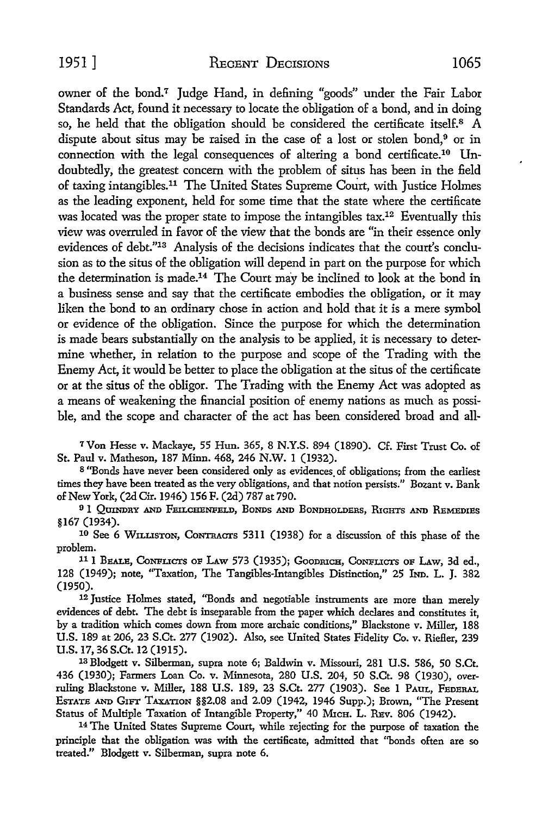owner of the bond.7 Judge Hand, in defining "goods" under the Fair Labor Standards Act, found it necessary to locate the obligation of a bond, and in doing so, he held that the obligation should be considered the certificate itself.8 A dispute about situs may be raised in the case of a lost or stolen bond,9 or in connection with the legal consequences of altering a bond certificate.10 Undoubtedly, the greatest concern with the problem of situs has been in the field of taxing intangibles.11 The United States Supreme Court, with Justice Holmes as the leading exponent, held for some time that the state where the certificate was located was the proper state to impose the intangibles tax.<sup>12</sup> Eventually this view was overruled in favor of the view that the bonds are "in their essence only evidences of debt."13 Analysis of the decisions indicates that the court's conclusion as to the situs of the obligation will depend in part on the purpose for which the determination is made.14 The Court may be inclined to look at the bond in a business sense and say that the certificate embodies the obligation, or it may liken the bond to an ordinary chose in action and hold that it is a mere symbol or evidence of the obligation. Since the purpose for which the determination is made bears substantially on the analysis to be applied, it is necessary to determine whether, in relation to the purpose and scope of the Trading with the Enemy Act, it would be better to place the obligation at the situs of the certificate or at the situs of the obligor. The Trading with the Enemy Act was adopted as a means of weakening the financial position of enemy nations as much as possible, and the scope and character of the act has been considered broad and all-

<sup>7</sup>Von Hesse v. Mackaye, 55 Hun. 365, 8 N.Y.S. 894 (1890). Cf. First Trust Co. of St. Paul v. Matheson, 187 Minn. 468, 246 N.W. 1 (1932).

8 "Bonds have never been considered only as evidences of obligations; from the earliest times they have been treated as the very obligations, and that notion persists." Bozant v. Bank of New York, (2dCir. 1946) 156 F. (2d) 787 at 790.

<sup>9</sup> 1 QUINDRY AND FEILCHENFELD, BONDS AND BONDHOLDERS, RIGHTS AND REMEDIES §167 (1934).

10 See 6 WILLISTON, CoNTRAars 5311 (1938) for a discussion of this phase of the problem.

<sup>11</sup> I BEALE, CONFLICTS OF LAW 573 (1935); GOODRICH, CONFLICTS OF LAW, 3d ed., 128 (1949); note, "Taxation, The Tangibles-Intangibles Distinction," 25 hm. L. J. 382 (1950).

12 Justice Holmes stated, "Bonds and negotiable instruments are more than merely evidences of debt. The debt is inseparable from the paper which declares and constitutes it, by a tradition which comes down from more archaic conditions," Blackstone v. Miller, 188 U.S. 189 at 206, 23 S.Ct. 277 (1902). Also, see United States Fidelity Co. v. RieHer, 239 U.S. 17, 36 S.Ct. 12 (1915).

13 Blodgett v. Silberman, supra note 6; Baldwin v. Missouri, 281 U.S. 586, 50 S.Ct. 436 (1930); Farmers Loan Co. v. Minnesota, 280 U.S. 204, 50 S.Ct. 98 (1930), overruling Blackstone v. Miller, 188 U.S. 189, 23 S.Ct. 277 (1903). See 1 PAUL, FEDERAL ESTATE AND GrFT TAXATION §§2.08 and 2.09 (1942, 1946 Supp.); Brown, "The Present Status of Multiple Taxation of Intangible Property," 40 MrcH. L. REv. 806 (1942). 14 The United States Supreme Court, while rejecting for the purpose of taxation the

principle that the obligation was with the certificate, admitted that ''bonds often are so treated." Blodgett v. Silberman, supra note 6.